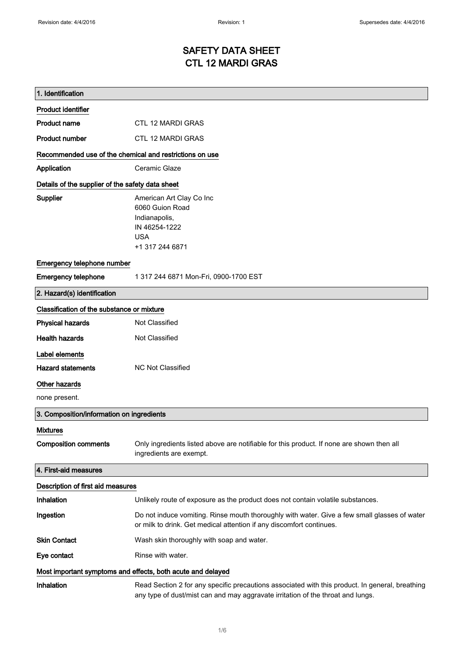### SAFETY DATA SHEET CTL 12 MARDI GRAS

| 1. Identification                                           |                                                                                                                                                                                    |  |
|-------------------------------------------------------------|------------------------------------------------------------------------------------------------------------------------------------------------------------------------------------|--|
| <b>Product identifier</b>                                   |                                                                                                                                                                                    |  |
| <b>Product name</b>                                         | CTL 12 MARDI GRAS                                                                                                                                                                  |  |
| <b>Product number</b>                                       | <b>CTL 12 MARDI GRAS</b>                                                                                                                                                           |  |
| Recommended use of the chemical and restrictions on use     |                                                                                                                                                                                    |  |
| Application                                                 | Ceramic Glaze                                                                                                                                                                      |  |
| Details of the supplier of the safety data sheet            |                                                                                                                                                                                    |  |
| <b>Supplier</b>                                             | American Art Clay Co Inc<br>6060 Guion Road<br>Indianapolis,<br>IN 46254-1222<br><b>USA</b><br>+1 317 244 6871                                                                     |  |
| Emergency telephone number                                  |                                                                                                                                                                                    |  |
| <b>Emergency telephone</b>                                  | 1 317 244 6871 Mon-Fri, 0900-1700 EST                                                                                                                                              |  |
| 2. Hazard(s) identification                                 |                                                                                                                                                                                    |  |
| Classification of the substance or mixture                  |                                                                                                                                                                                    |  |
| <b>Physical hazards</b>                                     | Not Classified                                                                                                                                                                     |  |
| <b>Health hazards</b>                                       | Not Classified                                                                                                                                                                     |  |
| Label elements<br><b>Hazard statements</b><br>Other hazards | <b>NC Not Classified</b>                                                                                                                                                           |  |
| none present.                                               |                                                                                                                                                                                    |  |
| 3. Composition/information on ingredients                   |                                                                                                                                                                                    |  |
| <b>Mixtures</b><br><b>Composition comments</b>              | Only ingredients listed above are notifiable for this product. If none are shown then all<br>ingredients are exempt.                                                               |  |
| 4. First-aid measures                                       |                                                                                                                                                                                    |  |
| Description of first aid measures                           |                                                                                                                                                                                    |  |
| Inhalation                                                  | Unlikely route of exposure as the product does not contain volatile substances.                                                                                                    |  |
| Ingestion                                                   | Do not induce vomiting. Rinse mouth thoroughly with water. Give a few small glasses of water<br>or milk to drink. Get medical attention if any discomfort continues.               |  |
| <b>Skin Contact</b>                                         | Wash skin thoroughly with soap and water.                                                                                                                                          |  |
| Eye contact                                                 | Rinse with water.                                                                                                                                                                  |  |
| Most important symptoms and effects, both acute and delayed |                                                                                                                                                                                    |  |
| Inhalation                                                  | Read Section 2 for any specific precautions associated with this product. In general, breathing<br>any type of dust/mist can and may aggravate irritation of the throat and lungs. |  |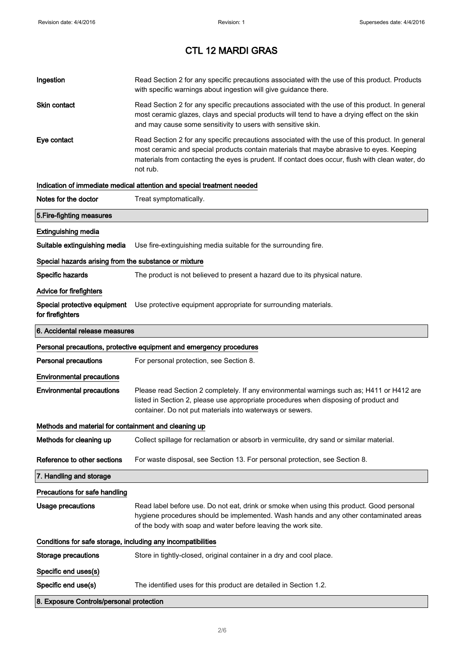| Ingestion                                             | Read Section 2 for any specific precautions associated with the use of this product. Products<br>with specific warnings about ingestion will give guidance there.                                                                                                                                           |  |  |
|-------------------------------------------------------|-------------------------------------------------------------------------------------------------------------------------------------------------------------------------------------------------------------------------------------------------------------------------------------------------------------|--|--|
| <b>Skin contact</b>                                   | Read Section 2 for any specific precautions associated with the use of this product. In general<br>most ceramic glazes, clays and special products will tend to have a drying effect on the skin<br>and may cause some sensitivity to users with sensitive skin.                                            |  |  |
| Eye contact                                           | Read Section 2 for any specific precautions associated with the use of this product. In general<br>most ceramic and special products contain materials that maybe abrasive to eyes. Keeping<br>materials from contacting the eyes is prudent. If contact does occur, flush with clean water, do<br>not rub. |  |  |
|                                                       | Indication of immediate medical attention and special treatment needed                                                                                                                                                                                                                                      |  |  |
| Notes for the doctor                                  | Treat symptomatically.                                                                                                                                                                                                                                                                                      |  |  |
| 5. Fire-fighting measures                             |                                                                                                                                                                                                                                                                                                             |  |  |
| <b>Extinguishing media</b>                            |                                                                                                                                                                                                                                                                                                             |  |  |
| Suitable extinguishing media                          | Use fire-extinguishing media suitable for the surrounding fire.                                                                                                                                                                                                                                             |  |  |
| Special hazards arising from the substance or mixture |                                                                                                                                                                                                                                                                                                             |  |  |
| <b>Specific hazards</b>                               | The product is not believed to present a hazard due to its physical nature.                                                                                                                                                                                                                                 |  |  |
| <b>Advice for firefighters</b>                        |                                                                                                                                                                                                                                                                                                             |  |  |
| Special protective equipment<br>for firefighters      | Use protective equipment appropriate for surrounding materials.                                                                                                                                                                                                                                             |  |  |
| 6. Accidental release measures                        |                                                                                                                                                                                                                                                                                                             |  |  |
|                                                       | Personal precautions, protective equipment and emergency procedures                                                                                                                                                                                                                                         |  |  |
| <b>Personal precautions</b>                           | For personal protection, see Section 8.                                                                                                                                                                                                                                                                     |  |  |
| <b>Environmental precautions</b>                      |                                                                                                                                                                                                                                                                                                             |  |  |
| <b>Environmental precautions</b>                      | Please read Section 2 completely. If any environmental warnings such as; H411 or H412 are<br>listed in Section 2, please use appropriate procedures when disposing of product and<br>container. Do not put materials into waterways or sewers.                                                              |  |  |
| Methods and material for containment and cleaning up  |                                                                                                                                                                                                                                                                                                             |  |  |
| Methods for cleaning up                               | Collect spillage for reclamation or absorb in vermiculite, dry sand or similar material.                                                                                                                                                                                                                    |  |  |
| Reference to other sections                           | For waste disposal, see Section 13. For personal protection, see Section 8.                                                                                                                                                                                                                                 |  |  |
| 7. Handling and storage                               |                                                                                                                                                                                                                                                                                                             |  |  |
| Precautions for safe handling                         |                                                                                                                                                                                                                                                                                                             |  |  |
| <b>Usage precautions</b>                              | Read label before use. Do not eat, drink or smoke when using this product. Good personal<br>hygiene procedures should be implemented. Wash hands and any other contaminated areas<br>of the body with soap and water before leaving the work site.                                                          |  |  |
|                                                       | Conditions for safe storage, including any incompatibilities                                                                                                                                                                                                                                                |  |  |
| <b>Storage precautions</b>                            | Store in tightly-closed, original container in a dry and cool place.                                                                                                                                                                                                                                        |  |  |
| Specific end uses(s)                                  |                                                                                                                                                                                                                                                                                                             |  |  |
| Specific end use(s)                                   | The identified uses for this product are detailed in Section 1.2.                                                                                                                                                                                                                                           |  |  |
| 8. Exposure Controls/personal protection              |                                                                                                                                                                                                                                                                                                             |  |  |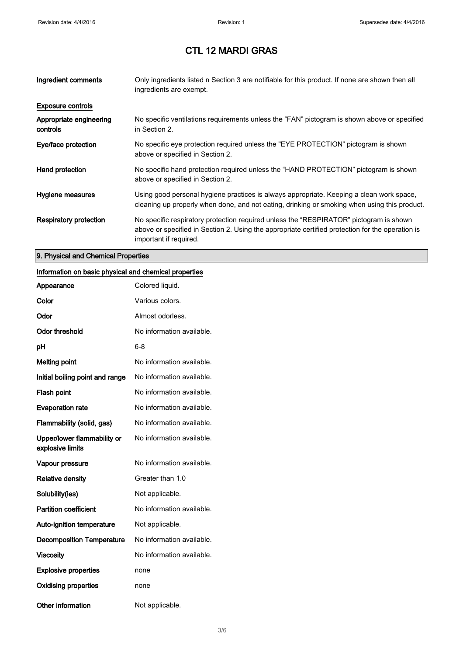| Ingredient comments                 | Only ingredients listed n Section 3 are notifiable for this product. If none are shown then all<br>ingredients are exempt.                                                                                           |
|-------------------------------------|----------------------------------------------------------------------------------------------------------------------------------------------------------------------------------------------------------------------|
| <b>Exposure controls</b>            |                                                                                                                                                                                                                      |
| Appropriate engineering<br>controls | No specific ventilations requirements unless the "FAN" pictogram is shown above or specified<br>in Section 2.                                                                                                        |
| Eye/face protection                 | No specific eye protection required unless the "EYE PROTECTION" pictogram is shown<br>above or specified in Section 2.                                                                                               |
| Hand protection                     | No specific hand protection required unless the "HAND PROTECTION" pictogram is shown<br>above or specified in Section 2.                                                                                             |
| Hygiene measures                    | Using good personal hygiene practices is always appropriate. Keeping a clean work space,<br>cleaning up properly when done, and not eating, drinking or smoking when using this product.                             |
| Respiratory protection              | No specific respiratory protection required unless the "RESPIRATOR" pictogram is shown<br>above or specified in Section 2. Using the appropriate certified protection for the operation is<br>important if required. |

### 9. Physical and Chemical Properties

#### Information on basic physical and chemical properties

| Appearance                                      | Colored liquid.           |
|-------------------------------------------------|---------------------------|
| Color                                           | Various colors.           |
| Odor                                            | Almost odorless.          |
| <b>Odor threshold</b>                           | No information available. |
| рH                                              | 6-8                       |
| <b>Melting point</b>                            | No information available. |
| Initial boiling point and range                 | No information available. |
| <b>Flash point</b>                              | No information available. |
| <b>Evaporation rate</b>                         | No information available. |
| Flammability (solid, gas)                       | No information available. |
| Upper/lower flammability or<br>explosive limits | No information available. |
| Vapour pressure                                 | No information available. |
| <b>Relative density</b>                         | Greater than 1.0          |
| Solubility(ies)                                 | Not applicable.           |
| <b>Partition coefficient</b>                    | No information available. |
| <b>Auto-ignition temperature</b>                | Not applicable.           |
| <b>Decomposition Temperature</b>                | No information available. |
| <b>Viscosity</b>                                | No information available. |
| <b>Explosive properties</b>                     | none                      |
| <b>Oxidising properties</b>                     | none                      |
| Other information                               | Not applicable.           |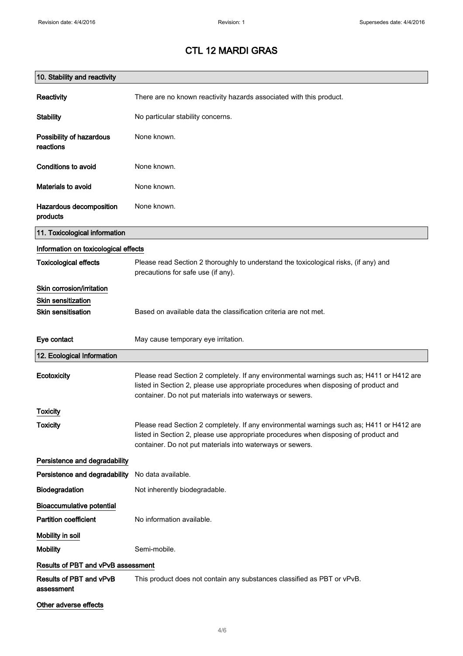| 10. Stability and reactivity          |                                                                                                                                                                                                                                                |
|---------------------------------------|------------------------------------------------------------------------------------------------------------------------------------------------------------------------------------------------------------------------------------------------|
| Reactivity                            | There are no known reactivity hazards associated with this product.                                                                                                                                                                            |
| <b>Stability</b>                      | No particular stability concerns.                                                                                                                                                                                                              |
| Possibility of hazardous<br>reactions | None known.                                                                                                                                                                                                                                    |
| Conditions to avoid                   | None known.                                                                                                                                                                                                                                    |
| Materials to avoid                    | None known.                                                                                                                                                                                                                                    |
| Hazardous decomposition<br>products   | None known.                                                                                                                                                                                                                                    |
| 11. Toxicological information         |                                                                                                                                                                                                                                                |
| Information on toxicological effects  |                                                                                                                                                                                                                                                |
| <b>Toxicological effects</b>          | Please read Section 2 thoroughly to understand the toxicological risks, (if any) and<br>precautions for safe use (if any).                                                                                                                     |
| Skin corrosion/irritation             |                                                                                                                                                                                                                                                |
| <b>Skin sensitization</b>             |                                                                                                                                                                                                                                                |
| <b>Skin sensitisation</b>             | Based on available data the classification criteria are not met.                                                                                                                                                                               |
| Eye contact                           | May cause temporary eye irritation.                                                                                                                                                                                                            |
| 12. Ecological Information            |                                                                                                                                                                                                                                                |
| Ecotoxicity                           | Please read Section 2 completely. If any environmental warnings such as; H411 or H412 are<br>listed in Section 2, please use appropriate procedures when disposing of product and<br>container. Do not put materials into waterways or sewers. |
| <b>Toxicity</b>                       |                                                                                                                                                                                                                                                |
| <b>Toxicity</b>                       | Please read Section 2 completely. If any environmental warnings such as; H411 or H412 are<br>listed in Section 2, please use appropriate procedures when disposing of product and<br>container. Do not put materials into waterways or sewers. |
| Persistence and degradability         |                                                                                                                                                                                                                                                |
| Persistence and degradability         | No data available.                                                                                                                                                                                                                             |
| Biodegradation                        | Not inherently biodegradable.                                                                                                                                                                                                                  |
| <b>Bioaccumulative potential</b>      |                                                                                                                                                                                                                                                |
| <b>Partition coefficient</b>          | No information available.                                                                                                                                                                                                                      |
| Mobility in soil                      |                                                                                                                                                                                                                                                |
| <b>Mobility</b>                       | Semi-mobile.                                                                                                                                                                                                                                   |
| Results of PBT and vPvB assessment    |                                                                                                                                                                                                                                                |
| Results of PBT and vPvB<br>assessment | This product does not contain any substances classified as PBT or vPvB.                                                                                                                                                                        |
| Other adverse effects                 |                                                                                                                                                                                                                                                |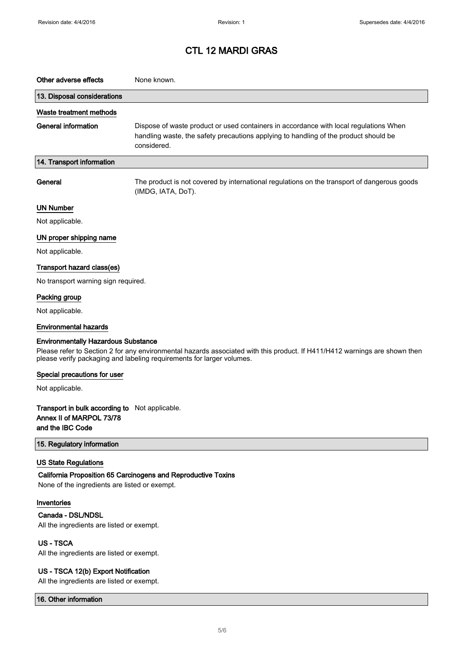| Other adverse effects                                                                                                                                                                                                                             | None known.                                                                                                                                                                                  |
|---------------------------------------------------------------------------------------------------------------------------------------------------------------------------------------------------------------------------------------------------|----------------------------------------------------------------------------------------------------------------------------------------------------------------------------------------------|
| 13. Disposal considerations                                                                                                                                                                                                                       |                                                                                                                                                                                              |
| Waste treatment methods                                                                                                                                                                                                                           |                                                                                                                                                                                              |
| <b>General information</b>                                                                                                                                                                                                                        | Dispose of waste product or used containers in accordance with local regulations When<br>handling waste, the safety precautions applying to handling of the product should be<br>considered. |
| 14. Transport information                                                                                                                                                                                                                         |                                                                                                                                                                                              |
| General                                                                                                                                                                                                                                           | The product is not covered by international regulations on the transport of dangerous goods<br>(IMDG, IATA, DoT).                                                                            |
| <b>UN Number</b>                                                                                                                                                                                                                                  |                                                                                                                                                                                              |
| Not applicable.                                                                                                                                                                                                                                   |                                                                                                                                                                                              |
| UN proper shipping name                                                                                                                                                                                                                           |                                                                                                                                                                                              |
| Not applicable.                                                                                                                                                                                                                                   |                                                                                                                                                                                              |
| Transport hazard class(es)                                                                                                                                                                                                                        |                                                                                                                                                                                              |
| No transport warning sign required.                                                                                                                                                                                                               |                                                                                                                                                                                              |
| Packing group                                                                                                                                                                                                                                     |                                                                                                                                                                                              |
| Not applicable.                                                                                                                                                                                                                                   |                                                                                                                                                                                              |
| <b>Environmental hazards</b>                                                                                                                                                                                                                      |                                                                                                                                                                                              |
| <b>Environmentally Hazardous Substance</b><br>Please refer to Section 2 for any environmental hazards associated with this product. If H411/H412 warnings are shown then<br>please verify packaging and labeling requirements for larger volumes. |                                                                                                                                                                                              |
| Special precautions for user                                                                                                                                                                                                                      |                                                                                                                                                                                              |
| Not applicable.                                                                                                                                                                                                                                   |                                                                                                                                                                                              |
| Transport in bulk according to Not applicable.<br>Annex II of MARPOL 73/78<br>and the IBC Code                                                                                                                                                    |                                                                                                                                                                                              |
| 15. Regulatory information                                                                                                                                                                                                                        |                                                                                                                                                                                              |
| <b>US State Regulations</b><br>None of the ingredients are listed or exempt.                                                                                                                                                                      | California Proposition 65 Carcinogens and Reproductive Toxins                                                                                                                                |
| Inventories<br>Canada - DSL/NDSL<br>All the ingredients are listed or exempt.                                                                                                                                                                     |                                                                                                                                                                                              |
| <b>US-TSCA</b><br>All the ingredients are listed or exempt.                                                                                                                                                                                       |                                                                                                                                                                                              |
| US - TSCA 12(b) Export Notification                                                                                                                                                                                                               |                                                                                                                                                                                              |

All the ingredients are listed or exempt.

16. Other information